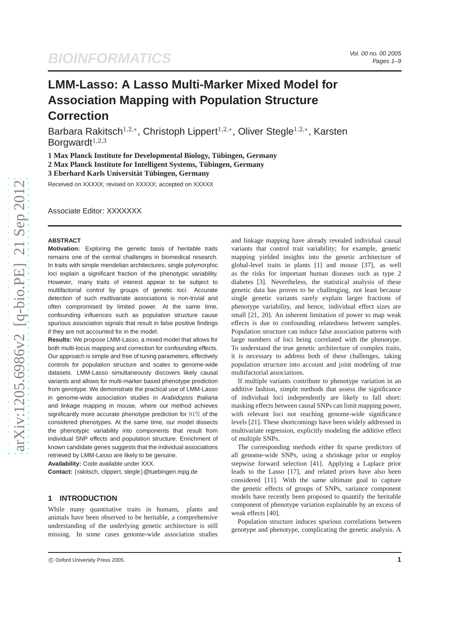# **BIOINFORMATICS**

## **LMM-Lasso: A Lasso Multi-Marker Mixed Model for Association Mapping with Population Structure Correction**

Barbara Rakitsch<sup>1,2,\*</sup>, Christoph Lippert<sup>1,2,\*</sup>, Oliver Stegle<sup>1,2,\*</sup>, Karsten Borgward $t^{1,2,3}$ 

**1 Max Planck Institute for Developmental Biology, Tübingen, Germany 2 Max Planck Institute for Intelligent Systems, T¨ubingen, Germany 3 Eberhard Karls Universitat T¨ubingen, Germany ¨**

Received on XXXXX; revised on XXXXX; accepted on XXXXX

Associate Editor: XXXXXXX

#### **ABSTRACT**

**Motivation:** Exploring the genetic basis of heritable traits remains one of the central challenges in biomedical research. In traits with simple mendelian architectures, single polymorphic loci explain a significant fraction of the phenotypic variability. However, many traits of interest appear to be subject to multifactorial control by groups of genetic loci. Accurate detection of such multivariate associations is non-trivial and often compromised by limited power. At the same time, confounding influences such as population structure cause spurious association signals that result in false positive findings if they are not accounted for in the model.

**Results:** We propose LMM-Lasso, a mixed model that allows for both multi-locus mapping and correction for confounding effects. Our approach is simple and free of tuning parameters, effectively controls for population structure and scales to genome-wide datasets. LMM-Lasso simultaneously discovers likely causal variants and allows for multi-marker based phenotype prediction from genotype. We demonstrate the practical use of LMM-Lasso in genome-wide association studies in Arabidopsis thaliana and linkage mapping in mouse, where our method achieves significantly more accurate phenotype prediction for 91% of the considered phenotypes. At the same time, our model dissects the phenotypic variability into components that result from individual SNP effects and population structure. Enrichment of known candidate genes suggests that the individual associations retrieved by LMM-Lasso are likely to be genuine.

**Availability:** Code available under XXX.

**Contact:** {rakitsch, clippert, stegle}@tuebingen.mpg.de

## **1 INTRODUCTION**

While many quantitative traits in humans, plants and animals have been observed to be heritable, a comprehensive understanding of the underlying genetic architecture is still missing. In some cases genome-wide association studies and linkage mapping have already revealed individual causal variants that control trait variability; for example, genetic mapping yielded insights into the genetic architecture of global-level traits in plants [1] and mouse [37], as well as the risks for important human diseases such as type 2 diabetes [3]. Nevertheless, the statistical analysis of these genetic data has proven to be challenging, not least because single genetic variants rarely explain larger fractions of phenotype variability, and hence, individual effect sizes are small [21, 20]. An inherent limitation of power to map weak effects is due to confounding relatedness between samples. Population structure can induce false association patterns with large numbers of loci being correlated with the phenotype. To understand the true genetic architecture of complex traits, it is necessary to address both of these challenges, taking population structure into account and joint modeling of true multifactorial associations.

If multiple variants contribute to phenotype variation in an additive fashion, simple methods that assess the significance of individual loci independently are likely to fall short: masking effects between causal SNPs can limit mapping power, with relevant loci not reaching genome-wide significance levels [21]. These shortcomings have been widely addressed in multivariate regression, explicitly modeling the additive effect of multiple SNPs.

The corresponding methods either fit sparse predictors of all genome-wide SNPs, using a shrinkage prior or employ stepwise forward selection [41]. Applying a Laplace prior leads to the Lasso [17], and related priors have also been considered [11]. With the same ultimate goal to capture the genetic effects of groups of SNPs, variance component models have recently been proposed to quantify the heritable component of phenotype variation explainable by an excess of weak effects [40].

Population structure induces spurious correlations between genotype and phenotype, complicating the genetic analysis. A

c Oxford University Press 2005. **1**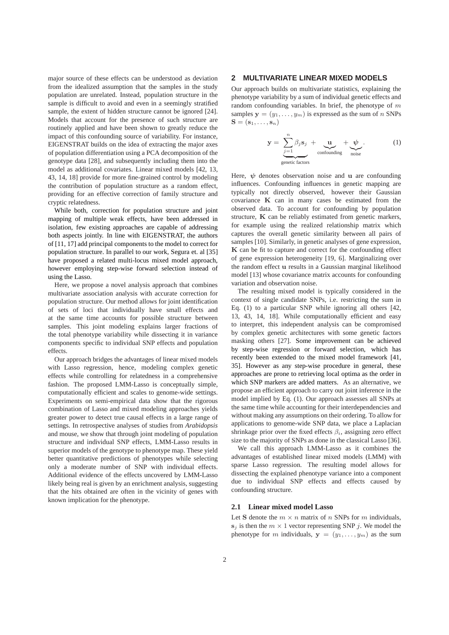major source of these effects can be understood as deviation from the idealized assumption that the samples in the study population are unrelated. Instead, population structure in the sample is difficult to avoid and even in a seemingly stratified sample, the extent of hidden structure cannot be ignored [24]. Models that account for the presence of such structure are routinely applied and have been shown to greatly reduce the impact of this confounding source of variability. For instance, EIGENSTRAT builds on the idea of extracting the major axes of population differentiation using a PCA decomposition of the genotype data [28], and subsequently including them into the model as additional covariates. Linear mixed models [42, 13, 43, 14, 18] provide for more fine-grained control by modeling the contribution of population structure as a random effect, providing for an effective correction of family structure and cryptic relatedness.

While both, correction for population structure and joint mapping of multiple weak effects, have been addressed in isolation, few existing approaches are capable of addressing both aspects jointly. In line with EIGENSTRAT, the authors of [11, 17] add principal components to the model to correct for population structure. In parallel to our work, Segura et. al [35] have proposed a related multi-locus mixed model approach, however employing step-wise forward selection instead of using the Lasso.

Here, we propose a novel analysis approach that combines multivariate association analysis with accurate correction for population structure. Our method allows for joint identification of sets of loci that individually have small effects and at the same time accounts for possible structure between samples. This joint modeling explains larger fractions of the total phenotype variability while dissecting it in variance components specific to individual SNP effects and population effects.

Our approach bridges the advantages of linear mixed models with Lasso regression, hence, modeling complex genetic effects while controlling for relatedness in a comprehensive fashion. The proposed LMM-Lasso is conceptually simple, computationally efficient and scales to genome-wide settings. Experiments on semi-empirical data show that the rigorous combination of Lasso and mixed modeling approaches yields greater power to detect true causal effects in a large range of settings. In retrospective analyses of studies from *Arabidopsis* and mouse, we show that through joint modeling of population structure and individual SNP effects, LMM-Lasso results in superior models of the genotype to phenotype map. These yield better quantitative predictions of phenotypes while selecting only a moderate number of SNP with individual effects. Additional evidence of the effects uncovered by LMM-Lasso likely being real is given by an enrichment analysis, suggesting that the hits obtained are often in the vicinity of genes with known implication for the phenotype.

## **2 MULTIVARIATE LINEAR MIXED MODELS**

Our approach builds on multivariate statistics, explaining the phenotype variability by a sum of individual genetic effects and random confounding variables. In brief, the phenotype of  $m$ samples  $y = (y_1, \ldots, y_m)$  is expressed as the sum of n SNPs  $S = (s_1, \ldots, s_n)$ 

$$
\mathbf{y} = \underbrace{\sum_{j=1}^{n} \beta_j \mathbf{s}_j}_{\text{confounding}} + \underbrace{\mathbf{u}}_{\text{noise}} + \underbrace{\psi}_{\text{noise}}.
$$
 (1)

Here,  $\psi$  denotes observation noise and u are confounding influences. Confounding influences in genetic mapping are typically not directly observed, however their Gaussian covariance K can in many cases be estimated from the observed data. To account for confounding by population structure, K can be reliably estimated from genetic markers, for example using the realized relationship matrix which captures the overall genetic similarity between all pairs of samples [10]. Similarly, in genetic analyses of gene expression, K can be fit to capture and correct for the confounding effect of gene expression heterogeneity [19, 6]. Marginalizing over the random effect u results in a Gaussian marginal likelihood model [13] whose covariance matrix accounts for confounding variation and observation noise.

The resulting mixed model is typically considered in the context of single candidate SNPs, i.e. restricting the sum in Eq. (1) to a particular SNP while ignoring all others [42, 13, 43, 14, 18]. While computationally efficient and easy to interpret, this independent analysis can be compromised by complex genetic architectures with some genetic factors masking others [27]. Some improvement can be achieved by step-wise regression or forward selection, which has recently been extended to the mixed model framework [41, 35]. However as any step-wise procedure in general, these approaches are prone to retrieving local optima as the order in which SNP markers are added matters. As an alternative, we propose an efficient approach to carry out joint inference in the model implied by Eq. (1). Our approach assesses all SNPs at the same time while accounting for their interdependencies and without making any assumptions on their ordering. To allow for applications to genome-wide SNP data, we place a Laplacian shrinkage prior over the fixed effects  $\beta_i$ , assigning zero effect size to the majority of SNPs as done in the classical Lasso [36].

We call this approach LMM-Lasso as it combines the advantages of established linear mixed models (LMM) with sparse Lasso regression. The resulting model allows for dissecting the explained phenotype variance into a component due to individual SNP effects and effects caused by confounding structure.

#### **2.1 Linear mixed model Lasso**

Let S denote the  $m \times n$  matrix of n SNPs for m individuals,  $s_i$  is then the  $m \times 1$  vector representing SNP j. We model the phenotype for m individuals,  $y = (y_1, \ldots, y_m)$  as the sum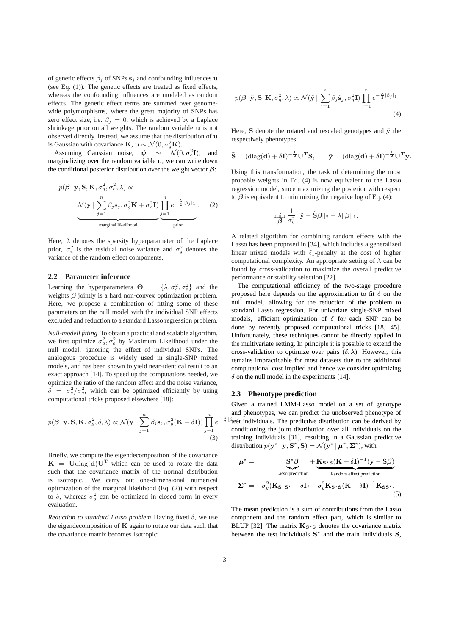of genetic effects  $\beta_j$  of SNPs  $s_j$  and confounding influences u (see Eq. (1)). The genetic effects are treated as fixed effects, whereas the confounding influences are modeled as random effects. The genetic effect terms are summed over genomewide polymorphisms, where the great majority of SNPs has zero effect size, i.e.  $\beta_j = 0$ , which is achieved by a Laplace shrinkage prior on all weights. The random variable u is not observed directly. Instead, we assume that the distribution of u is Gaussian with covariance **K**,  $\mathbf{u} \sim \mathcal{N}(0, \sigma_g^2 \mathbf{K})$ .

Assuming Gaussian noise,  $\psi \sim \mathcal{N}(0, \sigma_e^2 \mathbf{I})$ , and marginalizing over the random variable u, we can write down the conditional posterior distribution over the weight vector  $\beta$ :

$$
p(\boldsymbol{\beta} | \mathbf{y}, \mathbf{S}, \mathbf{K}, \sigma_g^2, \sigma_e^2, \lambda) \propto
$$
\n
$$
\underbrace{\mathcal{N}(\mathbf{y} | \sum_{j=1}^n \beta_j \mathbf{s}_j, \sigma_g^2 \mathbf{K} + \sigma_e^2 \mathbf{I}) \prod_{j=1}^n e^{-\frac{\lambda}{2} |\beta_j|_1}}_{\text{marginal likelihood}}.
$$
\n(2)

Here,  $\lambda$  denotes the sparsity hyperparameter of the Laplace prior,  $\sigma_e^2$  is the residual noise variance and  $\sigma_g^2$  denotes the variance of the random effect components.

#### **2.2 Parameter inference**

Learning the hyperparameters  $\Theta = \{\lambda, \sigma_g^2, \sigma_e^2\}$  and the weights  $\beta$  jointly is a hard non-convex optimization problem. Here, we propose a combination of fitting some of these parameters on the null model with the individual SNP effects excluded and reduction to a standard Lasso regression problem.

*Null-modell fitting* To obtain a practical and scalable algorithm, we first optimize  $\sigma_g^2$ ,  $\sigma_e^2$  by Maximum Likelihood under the null model, ignoring the effect of individual SNPs. The analogous procedure is widely used in single-SNP mixed models, and has been shown to yield near-identical result to an exact approach [14]. To speed up the computations needed, we optimize the ratio of the random effect and the noise variance,  $\delta = \sigma_e^2/\sigma_g^2$ , which can be optimized efficiently by using computational tricks proposed elsewhere [18]:

$$
p(\boldsymbol{\beta} \mid \mathbf{y}, \mathbf{S}, \mathbf{K}, \sigma_g^2, \delta, \lambda) \propto \mathcal{N}(\mathbf{y} \mid \sum_{j=1}^n \beta_j \mathbf{s}_j, \sigma_g^2(\mathbf{K} + \delta \mathbf{I})) \prod_{j=1}^n e^{-1}
$$
\n(3)

Briefly, we compute the eigendecomposition of the covariance  $K = U \text{diag}(\mathbf{d}) \mathbf{U}^T$  which can be used to rotate the data such that the covariance matrix of the normal distribution is isotropic. We carry out one-dimensional numerical optimization of the marginal likelihood (Eq. (2)) with respect to  $\delta$ , whereas  $\sigma_g^2$  can be optimized in closed form in every evaluation.

*Reduction to standard Lasso problem* Having fixed δ, we use the eigendecomposition of  $K$  again to rotate our data such that the covariance matrix becomes isotropic:

$$
p(\boldsymbol{\beta} \mid \tilde{\mathbf{y}}, \tilde{\mathbf{S}}, \mathbf{K}, \sigma_g^2, \lambda) \propto \mathcal{N}(\tilde{\mathbf{y}} \mid \sum_{j=1}^n \beta_j \tilde{\mathbf{s}}_j, \sigma_g^2 \mathbf{I}) \prod_{j=1}^n e^{-\frac{\lambda}{2} |\beta_j|_1}
$$
\n(4)

Here,  $\tilde{S}$  denote the rotated and rescaled genotypes and  $\tilde{y}$  the respectively phenotypes:

$$
\tilde{\mathbf{S}} = (\text{diag}(\mathbf{d}) + \delta \mathbf{I})^{-\frac{1}{2}} \mathbf{U}^{\mathbf{T}} \mathbf{S}, \quad \tilde{\mathbf{y}} = (\text{diag}(\mathbf{d}) + \delta \mathbf{I})^{-\frac{1}{2}} \mathbf{U}^{\mathbf{T}} \mathbf{y}.
$$

Using this transformation, the task of determining the most probable weights in Eq. (4) is now equivalent to the Lasso regression model, since maximizing the posterior with respect to  $\beta$  is equivalent to minimizing the negative log of Eq. (4):

$$
\min_{\boldsymbol{\beta}} \frac{1}{\sigma_g^2} ||\tilde{\mathbf{y}} - \tilde{\mathbf{S}}\boldsymbol{\beta}||_2 + \lambda ||\boldsymbol{\beta}||_1.
$$

A related algorithm for combining random effects with the Lasso has been proposed in [34], which includes a generalized linear mixed models with  $\ell_1$ -penalty at the cost of higher computational complexity. An appropriate setting of  $\lambda$  can be found by cross-validation to maximize the overall predictive performance or stability selection [22].

The computational efficiency of the two-stage procedure proposed here depends on the approximation to fit  $\delta$  on the null model, allowing for the reduction of the problem to standard Lasso regression. For univariate single-SNP mixed models, efficient optimization of  $\delta$  for each SNP can be done by recently proposed computational tricks [18, 45]. Unfortunately, these techniques cannot be directly applied in the multivariate setting. In principle it is possible to extend the cross-validation to optimize over pairs  $(\delta, \lambda)$ . However, this remains impracticable for most datasets due to the additional computational cost implied and hence we consider optimizing  $\delta$  on the null model in the experiments [14].

#### **2.3 Phenotype prediction**

 $-\frac{\lambda}{2}$ | $\beta$ test individuals. The predictive distribution can be derived by Given a trained LMM-Lasso model on a set of genotype and phenotypes, we can predict the unobserved phenotype of conditioning the joint distribution over all individuals on the training individuals [31], resulting in a Gaussian predictive distribution  $p(\mathbf{y}^* | \mathbf{y}, \mathbf{S}^*, \mathbf{S}) = \mathcal{N}(\mathbf{y}^* | \boldsymbol{\mu}^*, \boldsymbol{\Sigma}^*)$ , with

$$
\mu^* = \underbrace{\mathbf{S}^* \beta}_{\text{Lasso prediction}} + \underbrace{\mathbf{K}_{\mathbf{S}^* \mathbf{S}} (\mathbf{K} + \delta \mathbf{I})^{-1} (\mathbf{y} - \mathbf{S} \beta)}_{\text{Random effect prediction}}
$$

$$
\Sigma^* = \sigma_g^2 (\mathbf{K}_{\mathbf{S}^* \mathbf{S}^*} + \delta \mathbf{I}) - \sigma_g^2 \mathbf{K}_{\mathbf{S}^* \mathbf{S}} (\mathbf{K} + \delta \mathbf{I})^{-1} \mathbf{K}_{\mathbf{S} \mathbf{S}^*}.
$$

$$
(5)
$$

The mean prediction is a sum of contributions from the Lasso component and the random effect part, which is similar to BLUP [32]. The matrix  $\mathbf{K}_{S\cdot S}$  denotes the covariance matrix between the test individuals  $S^*$  and the train individuals S,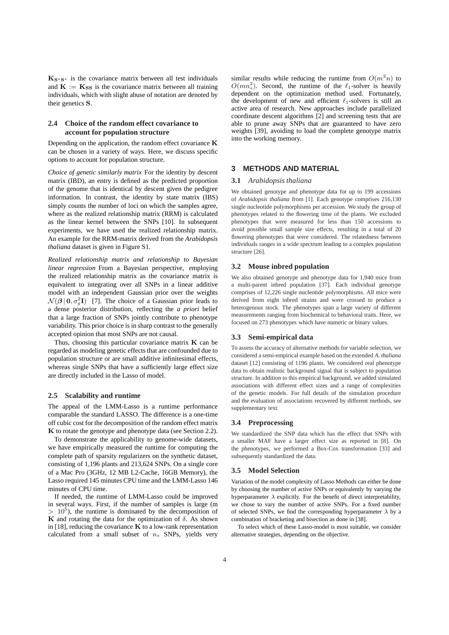$K_{S^*S^*}$  is the covariance matrix between all test individuals and  $\mathbf{K} := \mathbf{K}_{SS}$  is the covariance matrix between all training individuals, which with slight abuse of notation are denoted by their genetics S.

## **2.4 Choice of the random effect covariance to account for population structure**

Depending on the application, the random effect covariance K can be chosen in a variety of ways. Here, we discuss specific options to account for population structure.

*Choice of genetic similarly matrix* For the identity by descent matrix (IBD), an entry is defined as the predicted proportion of the genome that is identical by descent given the pedigree information. In contrast, the identity by state matrix (IBS) simply counts the number of loci on which the samples agree, where as the realized relationship matrix (RRM) is calculated as the linear kernel between the SNPs [10]. In subsequent experiments, we have used the realized relationship matrix. An example for the RRM-matrix derived from the *Arabidopsis thaliana* dataset is given in Figure S1.

*Realized relationship matrix and relationship to Bayesian linear regression* From a Bayesian perspective, employing the realized relationship matrix as the covariance matrix is equivalent to integrating over all SNPs in a linear additive model with an independent Gaussian prior over the weights  $\mathcal{N}(\boldsymbol{\beta} | 0, \sigma_g^2 \mathbf{I})$  [7]. The choice of a Gaussian prior leads to a dense posterior distribution, reflecting the *a priori* belief that a large fraction of SNPs jointly contribute to phenotype variability. This prior choice is in sharp contrast to the generally accepted opinion that most SNPs are not causal.

Thus, choosing this particular covariance matrix  $K$  can be regarded as modeling genetic effects that are confounded due to population structure or are small additive infinitesimal effects, whereas single SNPs that have a sufficiently large effect size are directly included in the Lasso of model.

#### **2.5 Scalability and runtime**

The appeal of the LMM-Lasso is a runtime performance comparable the standard LASSO. The difference is a one-time off cubic cost for the decomposition of the random effect matrix K to rotate the genotype and phenotype data (see Section 2.2).

To demonstrate the applicability to genome-wide datasets, we have empirically measured the runtime for computing the complete path of sparsity regularizers on the synthetic dataset, consisting of 1,196 plants and 213,624 SNPs. On a single core of a Mac Pro (3GHz, 12 MB L2-Cache, 16GB Memory), the Lasso required 145 minutes CPU time and the LMM-Lasso 146 minutes of CPU time.

If needed, the runtime of LMM-Lasso could be improved in several ways. First, if the number of samples is large (m  $> 10<sup>5</sup>$ ), the runtime is dominated by the decomposition of K and rotating the data for the optimization of  $\delta$ . As shown in [18], reducing the covariance  $\bf{K}$  to a low-rank representation calculated from a small subset of  $n_s$  SNPs, yields very

similar results while reducing the runtime from  $O(m^2n)$  to  $O(mn_s^2)$ . Second, the runtime of the  $\ell_1$ -solver is heavily dependent on the optimization method used. Fortunately, the development of new and efficient  $\ell_1$ -solvers is still an active area of research. New approaches include parallelized coordinate descent algorithms [2] and screening tests that are able to prune away SNPs that are guaranteed to have zero weights [39], avoiding to load the complete genotype matrix into the working memory.

## **3 METHODS AND MATERIAL**

#### **3.1** *Arabidopsis thaliana*

We obtained genotype and phenotype data for up to 199 accessions of *Arabidopsis thaliana* from [1]. Each genotype comprises 216,130 single nucleotide polymorphisms per accession. We study the group of phenotypes related to the flowering time of the plants. We excluded phenotypes that were measured for less than 150 accessions to avoid possible small sample size effects, resulting in a total of 20 flowering phenotypes that were considered. The relatedness between individuals ranges in a wide spectrum leading to a complex population structure [26].

#### **3.2 Mouse inbred population**

We also obtained genotype and phenotype data for 1,940 mice from a multi-parent inbred population [37]. Each individual genotype comprises of 12,226 single nucleotide polymorphisms. All mice were derived from eight inbred strains and were crossed to produce a heterogenous stock. The phenotypes span a large variety of different measurements ranging from biochemical to behavioral traits. Here, we focused on 273 phenotypes which have numeric or binary values.

#### **3.3 Semi-empirical data**

To assess the accuracy of alternative methods for variable selection, we considered a semi-empirical example based on the extended *A. thaliana* dataset [12] consisting of 1196 plants. We considered real phenotype data to obtain realistic background signal that is subject to population structure. In addition to this empirical background, we added simulated associations with different effect sizes and a range of complexities of the genetic models. For full details of the simulation procedure and the evaluation of associations recovered by different methods, see supplementary text.

#### **3.4 Preprocessing**

We standardized the SNP data which has the effect that SNPs with a smaller MAF have a larger effect size as reported in [8]. On the phenotypes, we performed a Box-Cox transformation [33] and subsequently standardized the data.

#### **3.5 Model Selection**

Variation of the model complexity of Lasso Methods can either be done by choosing the number of active SNPs or equivalently by varying the hyperparameter  $\lambda$  explicitly. For the benefit of direct interpretability, we chose to vary the number of active SNPs. For a fixed number of selected SNPs, we find the corresponding hyperparameter  $\lambda$  by a combination of bracketing and bisection as done in [38].

To select which of these Lasso-model is most suitable, we consider alternative strategies, depending on the objective.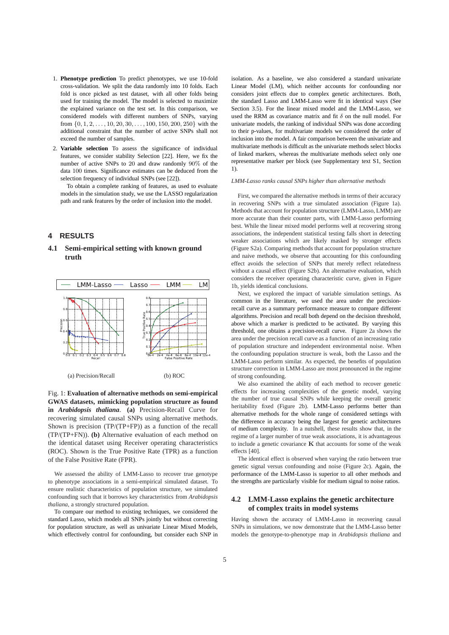- 1. **Phenotype prediction** To predict phenotypes, we use 10-fold cross-validation. We split the data randomly into 10 folds. Each fold is once picked as test dataset, with all other folds being used for training the model. The model is selected to maximize the explained variance on the test set. In this comparison, we considered models with different numbers of SNPs, varying from  $\{0, 1, 2, \ldots, 10, 20, 30, \ldots, 100, 150, 200, 250\}$  with the additional constraint that the number of active SNPs shall not exceed the number of samples.
- 2. **Variable selection** To assess the significance of individual features, we consider stability Selection [22]. Here, we fix the number of active SNPs to 20 and draw randomly 90% of the data 100 times. Significance estimates can be deduced from the selection frequency of individual SNPs (see [22]).

To obtain a complete ranking of features, as used to evaluate models in the simulation study, we use the LASSO regularization path and rank features by the order of inclusion into the model.

## **4 RESULTS**

## **4.1 Semi-empirical setting with known ground truth**



Fig. 1: **Evaluation of alternative methods on semi-empirical GWAS datasets, mimicking population structure as found in** *Arabidopsis thaliana*. **(a)** Precision-Recall Curve for recovering simulated causal SNPs using alternative methods. Shown is precision (TP/(TP+FP)) as a function of the recall (TP/(TP+FN)). **(b)** Alternative evaluation of each method on the identical dataset using Receiver operating characteristics (ROC). Shown is the True Positive Rate (TPR) as a function of the False Positive Rate (FPR).

We assessed the ability of LMM-Lasso to recover true genotype to phenotype associations in a semi-empirical simulated dataset. To ensure realistic characteristics of population structure, we simulated confounding such that it borrows key characteristics from *Arabidopsis thaliana*, a strongly structured population.

To compare our method to existing techniques, we considered the standard Lasso, which models all SNPs jointly but without correcting for population structure, as well as univariate Linear Mixed Models, which effectively control for confounding, but consider each SNP in isolation. As a baseline, we also considered a standard univariate Linear Model (LM), which neither accounts for confounding nor considers joint effects due to complex genetic architectures. Both, the standard Lasso and LMM-Lasso were fit in identical ways (See Section 3.5). For the linear mixed model and the LMM-Lasso, we used the RRM as covariance matrix and fit  $\delta$  on the null model. For univariate models, the ranking of individual SNPs was done according to their p-values, for multivariate models we considered the order of inclusion into the model. A fair comparison between the univariate and multivariate methods is difficult as the univariate methods select blocks of linked markers, whereas the multivariate methods select only one representative marker per block (see Supplementary text S1, Section 1).

#### *LMM-Lasso ranks causal SNPs higher than alternative methods*

First, we compared the alternative methods in terms of their accuracy in recovering SNPs with a true simulated association (Figure 1a). Methods that account for population structure (LMM-Lasso, LMM) are more accurate than their counter parts, with LMM-Lasso performing best. While the linear mixed model performs well at recovering strong associations, the independent statistical testing falls short in detecting weaker associations which are likely masked by stronger effects (Figure S2a). Comparing methods that account for population structure and naive methods, we observe that accounting for this confounding effect avoids the selection of SNPs that merely reflect relatedness without a causal effect (Figure S2b). An alternative evaluation, which considers the receiver operating characteristic curve, given in Figure 1b, yields identical conclusions.

Next, we explored the impact of variable simulation settings. As common in the literature, we used the area under the precisionrecall curve as a summary performance measure to compare different algorithms. Precision and recall both depend on the decision threshold, above which a marker is predicted to be activated. By varying this threshold, one obtains a precision-recall curve. Figure 2a shows the area under the precision recall curve as a function of an increasing ratio of population structure and independent environmental noise. When the confounding population structure is weak, both the Lasso and the LMM-Lasso perform similar. As expected, the benefits of population structure correction in LMM-Lasso are most pronounced in the regime of strong confounding.

We also examined the ability of each method to recover genetic effects for increasing complexities of the genetic model, varying the number of true causal SNPs while keeping the overall genetic heritability fixed (Figure 2b). LMM-Lasso performs better than alternative methods for the whole range of considered settings with the difference in accuracy being the largest for genetic architectures of medium complexity. In a nutshell, these results show that, in the regime of a larger number of true weak associations, it is advantageous to include a genetic covariance  $K$  that accounts for some of the weak effects [40].

The identical effect is observed when varying the ratio between true genetic signal versus confounding and noise (Figure 2c). Again, the performance of the LMM-Lasso is superior to all other methods and the strengths are particularly visible for medium signal to noise ratios.

### **4.2 LMM-Lasso explains the genetic architecture of complex traits in model systems**

Having shown the accuracy of LMM-Lasso in recovering causal SNPs in simulations, we now demonstrate that the LMM-Lasso better models the genotype-to-phenotype map in *Arabidopsis thaliana* and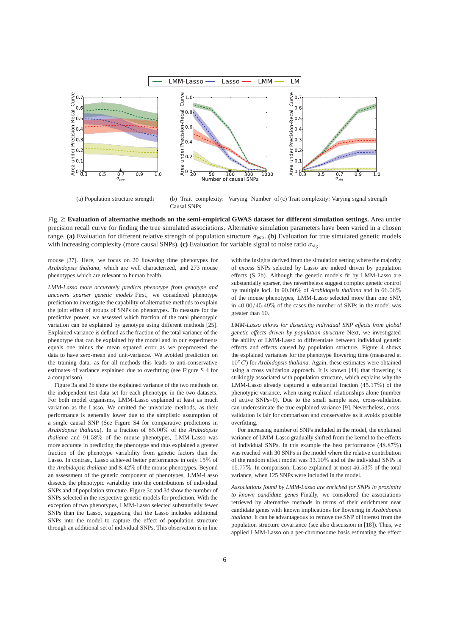

(a) Population structure strength (b) Trait complexity: Varying Number of (c) Trait complexity: Varying signal strength Causal SNPs

Fig. 2: **Evaluation of alternative methods on the semi-empirical GWAS dataset for different simulation settings.** Area under precision recall curve for finding the true simulated associations. Alternative simulation parameters have been varied in a chosen range. **(a)** Evaluation for different relative strength of population structure  $\sigma_{\text{pop}}$ . **(b)** Evaluation for true simulated genetic models with increasing complexity (more causal SNPs). (c) Evaluation for variable signal to noise ratio  $\sigma_{\rm sig}$ .

mouse [37]. Here, we focus on 20 flowering time phenotypes for *Arabidopsis thaliana*, which are well characterized, and 273 mouse phenotypes which are relevant to human health.

*LMM-Lasso more accurately predicts phenotype from genotype and uncovers sparser genetic models* First, we considered phenotype prediction to investigate the capability of alternative methods to explain the joint effect of groups of SNPs on phenotypes. To measure for the predictive power, we assessed which fraction of the total phenotypic variation can be explained by genotype using different methods [25]. Explained variance is defined as the fraction of the total variance of the phenotype that can be explained by the model and in our experiments equals one minus the mean squared error as we preprocesed the data to have zero-mean and unit-variance. We avoided prediction on the training data, as for all methods this leads to anti-conservative estimates of variance explained due to overfitting (see Figure S 4 for a comparison).

Figure 3a and 3b show the explained variance of the two methods on the independent test data set for each phenotype in the two datasets. For both model organisms, LMM-Lasso explained at least as much variation as the Lasso. We omitted the univariate methods, as their performance is generally lower due to the simplistic assumption of a single causal SNP (See Figure S4 for comparative predictions in *Arabidopsis thaliana*). In a fraction of 85.00% of the *Arabidopsis thaliana* and 91.58% of the mouse phenotypes, LMM-Lasso was more accurate in predicting the phenotype and thus explained a greater fraction of the phenotype variability from genetic factors than the Lasso. In contrast, Lasso achieved better performance in only 15% of the *Arabidopsis thaliana* and 8.42% of the mouse phenotypes. Beyond an assessment of the genetic component of phenotypes, LMM-Lasso dissects the phenotypic variability into the contributions of individual SNPs and of population structure. Figure 3c and 3d show the number of SNPs selected in the respective genetic models for prediction. With the exception of two phenotypes, LMM-Lasso selected substantially fewer SNPs than the Lasso, suggesting that the Lasso includes additional SNPs into the model to capture the effect of population structure through an additional set of individual SNPs. This observation is in line

with the insights derived from the simulation setting where the majority of excess SNPs selected by Lasso are indeed driven by population effects (S 2b). Although the genetic models fit by LMM-Lasso are substantially sparser, they nevertheless suggest complex genetic control by multiple loci. In 90.00% of *Arabidopsis thaliana* and in 66.06% of the mouse phenotypes, LMM-Lasso selected more than one SNP, in 40.00/45.49% of the cases the number of SNPs in the model was greater than 10.

*LMM-Lasso allows for dissecting individual SNP effects from global genetic effects driven by population structure* Next, we investigated the ability of LMM-Lasso to differentiate between individual genetic effects and effects caused by population structure. Figure 4 shows the explained variances for the phenotype flowering time (measured at 10◦C) for *Arabidopsis thaliana*. Again, these estimates were obtained using a cross validation approach. It is known [44] that flowering is strikingly associated with population structure, which explains why the LMM-Lasso already captured a substantial fraction (45.17%) of the phenotypic variance, when using realized relationships alone (number of active SNPs=0). Due to the small sample size, cross-validation can underestimate the true explained variance [9]. Nevertheless, crossvalidation is fair for comparison and conservative as it avoids possible overfitting.

For increasing number of SNPs included in the model, the explained variance of LMM-Lasso gradually shifted from the kernel to the effects of individual SNPs. In this example the best performance (48.87%) was reached with 30 SNPs in the model where the relative contribution of the random effect model was 33.10% and of the individual SNPs is 15.77%. In comparison, Lasso explained at most 46.53% of the total variance, when 125 SNPs were included in the model.

*Associations found by LMM-Lasso are enriched for SNPs in proximity to known candidate genes* Finally, we considered the associations retrieved by alternative methods in terms of their enrichment near candidate genes with known implications for flowering in *Arabidopsis thaliana*. It can be advantageous to remove the SNP of interest from the population structure covariance (see also discussion in [18]). Thus, we applied LMM-Lasso on a per-chromosome basis estimating the effect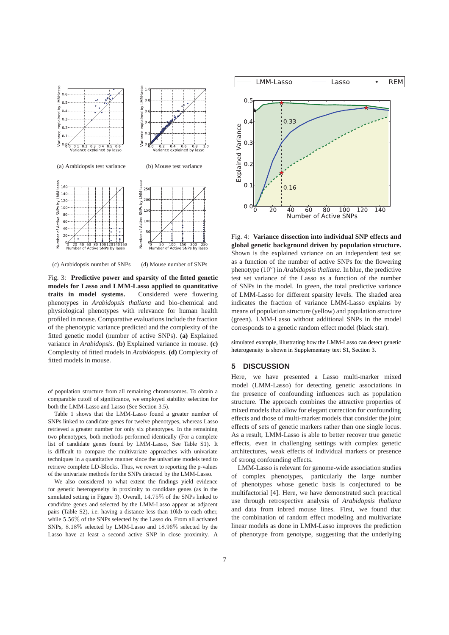

(c) Arabidopsis number of SNPs

(d) Mouse number of SNPs

Fig. 3: **Predictive power and sparsity of the fitted genetic models for Lasso and LMM-Lasso applied to quantitative traits in model systems.** Considered were flowering phenotypes in *Arabidopsis thaliana* and bio-chemical and physiological phenotypes with relevance for human health profiled in mouse. Comparative evaluations include the fraction of the phenotypic variance predicted and the complexity of the fitted genetic model (number of active SNPs). **(a)** Explained variance in *Arabidopsis*. **(b)** Explained variance in mouse. **(c)** Complexity of fitted models in *Arabidopsis*. **(d)** Complexity of fitted models in mouse.

of population structure from all remaining chromosomes. To obtain a comparable cutoff of significance, we employed stability selection for both the LMM-Lasso and Lasso (See Section 3.5).

Table 1 shows that the LMM-Lasso found a greater number of SNPs linked to candidate genes for twelve phenotypes, whereas Lasso retrieved a greater number for only six phenotypes. In the remaining two phenotypes, both methods performed identically (For a complete list of candidate genes found by LMM-Lasso, See Table S1). It is difficult to compare the multivariate approaches with univariate techniques in a quantitative manner since the univariate models tend to retrieve complete LD-Blocks. Thus, we revert to reporting the p-values of the univariate methods for the SNPs detected by the LMM-Lasso.

We also considered to what extent the findings yield evidence for genetic heterogeneity in proximity to candidate genes (as in the simulated setting in Figure 3). Overall, 14.75% of the SNPs linked to candidate genes and selected by the LMM-Lasso appear as adjacent pairs (Table S2), i.e. having a distance less than 10kb to each other, while 5.56% of the SNPs selected by the Lasso do. From all activated SNPs, 8.18% selected by LMM-Lasso and 18.96% selected by the Lasso have at least a second active SNP in close proximity. A



Fig. 4: **Variance dissection into individual SNP effects and global genetic background driven by population structure.** Shown is the explained variance on an independent test set as a function of the number of active SNPs for the flowering phenotype (10◦ ) in *Arabidopsis thaliana*. In blue, the predictive test set variance of the Lasso as a function of the number of SNPs in the model. In green, the total predictive variance of LMM-Lasso for different sparsity levels. The shaded area indicates the fraction of variance LMM-Lasso explains by means of population structure (yellow) and population structure (green). LMM-Lasso without additional SNPs in the model corresponds to a genetic random effect model (black star).

simulated example, illustrating how the LMM-Lasso can detect genetic heterogeneity is shown in Supplementary text S1, Section 3.

## **5 DISCUSSION**

Here, we have presented a Lasso multi-marker mixed model (LMM-Lasso) for detecting genetic associations in the presence of confounding influences such as population structure. The approach combines the attractive properties of mixed models that allow for elegant correction for confounding effects and those of multi-marker models that consider the joint effects of sets of genetic markers rather than one single locus. As a result, LMM-Lasso is able to better recover true genetic effects, even in challenging settings with complex genetic architectures, weak effects of individual markers or presence of strong confounding effects.

LMM-Lasso is relevant for genome-wide association studies of complex phenotypes, particularly the large number of phenotypes whose genetic basis is conjectured to be multifactorial [4]. Here, we have demonstrated such practical use through retrospective analysis of *Arabidopsis thaliana* and data from inbred mouse lines. First, we found that the combination of random effect modeling and multivariate linear models as done in LMM-Lasso improves the prediction of phenotype from genotype, suggesting that the underlying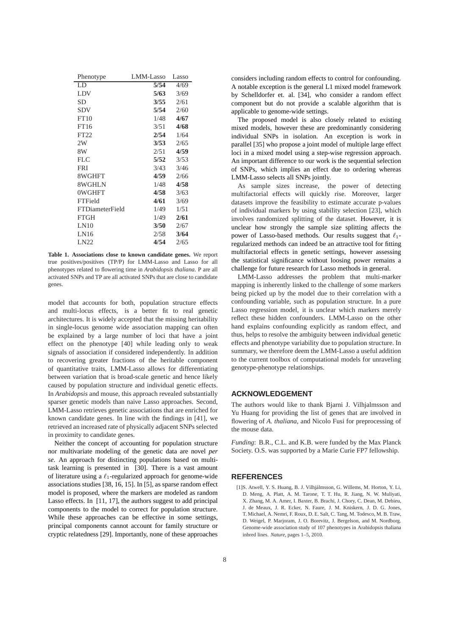| LD<br>5/54<br>4/69<br>5/63<br>LDV<br>3/69<br><b>SD</b><br>3/55<br>2/61<br><b>SDV</b><br>5/54<br>2/60<br>FT10<br>4/67<br>1/48<br>FT16<br>4/68<br>3/51<br>FT22<br>2/54<br>1/64<br>2W<br>3/53<br>2/65<br>8W<br>2/51<br>4/59 | Lasso |
|--------------------------------------------------------------------------------------------------------------------------------------------------------------------------------------------------------------------------|-------|
|                                                                                                                                                                                                                          |       |
|                                                                                                                                                                                                                          |       |
|                                                                                                                                                                                                                          |       |
|                                                                                                                                                                                                                          |       |
|                                                                                                                                                                                                                          |       |
|                                                                                                                                                                                                                          |       |
|                                                                                                                                                                                                                          |       |
|                                                                                                                                                                                                                          |       |
|                                                                                                                                                                                                                          |       |
| FLC<br>5/52<br>3/53                                                                                                                                                                                                      |       |
| <b>FRI</b><br>3/43<br>3/46                                                                                                                                                                                               |       |
| 8WGHFT<br>4/59<br>2/66                                                                                                                                                                                                   |       |
| 8WGHLN<br>1/48<br>4/58                                                                                                                                                                                                   |       |
| 0WGHFT<br>4/58<br>3/63                                                                                                                                                                                                   |       |
| FTField<br>4/61<br>3/69                                                                                                                                                                                                  |       |
| <b>FTDiameterField</b><br>1/49<br>1/51                                                                                                                                                                                   |       |
| <b>FTGH</b><br>2/61<br>1/49                                                                                                                                                                                              |       |
| LN10<br>3/50<br>2/67                                                                                                                                                                                                     |       |
| LN16<br>3/64<br>2/58                                                                                                                                                                                                     |       |
| LN22<br>4/54<br>2/65                                                                                                                                                                                                     |       |

**Table 1. Associations close to known candidate genes.** We report true positives/positives (TP/P) for LMM-Lasso and Lasso for all phenotypes related to flowering time in *Arabidopsis thaliana*. P are all activated SNPs and TP are all activated SNPs that are close to candidate genes.

model that accounts for both, population structure effects and multi-locus effects, is a better fit to real genetic architectures. It is widely accepted that the missing heritability in single-locus genome wide association mapping can often be explained by a large number of loci that have a joint effect on the phenotype [40] while leading only to weak signals of association if considered independently. In addition to recovering greater fractions of the heritable component of quantitative traits, LMM-Lasso allows for differentiating between variation that is broad-scale genetic and hence likely caused by population structure and individual genetic effects. In *Arabidopsis* and mouse, this approach revealed substantially sparser genetic models than naive Lasso approaches. Second, LMM-Lasso retrieves genetic associations that are enriched for known candidate genes. In line with the findings in [41], we retrieved an increased rate of physically adjacent SNPs selected in proximity to candidate genes.

Neither the concept of accounting for population structure nor multivariate modeling of the genetic data are novel *per se*. An approach for distincting populations based on multitask learning is presented in [30]. There is a vast amount of literature using a  $\ell_1$ -regularized approach for genome-wide associations studies [38, 16, 15]. In [5], as sparse random effect model is proposed, where the markers are modeled as random Lasso effects. In [11, 17], the authors suggest to add principal components to the model to correct for population structure. While these approaches can be effective in some settings, principal components cannot account for family structure or cryptic relatedness [29]. Importantly, none of these approaches

considers including random effects to control for confounding. A notable exception is the general L1 mixed model framework by Schelldorfer et. al. [34], who consider a random effect component but do not provide a scalable algorithm that is applicable to genome-wide settings.

The proposed model is also closely related to existing mixed models, however these are predominantly considering individual SNPs in isolation. An exception is work in parallel [35] who propose a joint model of multiple large effect loci in a mixed model using a step-wise regression approach. An important difference to our work is the sequential selection of SNPs, which implies an effect due to ordering whereas LMM-Lasso selects all SNPs jointly.

As sample sizes increase, the power of detecting multifactorial effects will quickly rise. Moreover, larger datasets improve the feasibility to estimate accurate p-values of individual markers by using stability selection [23], which involves randomized splitting of the dataset. However, it is unclear how strongly the sample size splitting affects the power of Lasso-based methods. Our results suggest that  $\ell_1$ regularized methods can indeed be an attractive tool for fitting multifactorial effects in genetic settings, however assessing the statistical significance without loosing power remains a challenge for future research for Lasso methods in general.

LMM-Lasso addresses the problem that multi-marker mapping is inherently linked to the challenge of some markers being picked up by the model due to their correlation with a confounding variable, such as population structure. In a pure Lasso regression model, it is unclear which markers merely reflect these hidden confounders. LMM-Lasso on the other hand explains confounding explicitly as random effect, and thus, helps to resolve the ambiguity between individual genetic effects and phenotype variability due to population structure. In summary, we therefore deem the LMM-Lasso a useful addition to the current toolbox of computational models for unraveling genotype-phenotype relationships.

## **ACKNOWLEDGEMENT**

The authors would like to thank Bjarni J. Vilhjalmsson and Yu Huang for providing the list of genes that are involved in flowering of *A. thaliana*, and Nicolo Fusi for preprocessing of the mouse data.

*Funding*: B.R., C.L. and K.B. were funded by the Max Planck Society. O.S. was supported by a Marie Curie FP7 fellowship.

## **REFERENCES**

[1]S. Atwell, Y. S. Huang, B. J. Vilhjálmsson, G. Willems, M. Horton, Y. Li, D. Meng, A. Platt, A. M. Tarone, T. T. Hu, R. Jiang, N. W. Muliyati, X. Zhang, M. A. Amer, I. Baxter, B. Brachi, J. Chory, C. Dean, M. Debieu, J. de Meaux, J. R. Ecker, N. Faure, J. M. Kniskern, J. D. G. Jones, T. Michael, A. Nemri, F. Roux, D. E. Salt, C. Tang, M. Todesco, M. B. Traw, D. Weigel, P. Marjoram, J. O. Borevitz, J. Bergelson, and M. Nordborg. Genome-wide association study of 107 phenotypes in Arabidopsis thaliana inbred lines. *Nature*, pages 1–5, 2010.